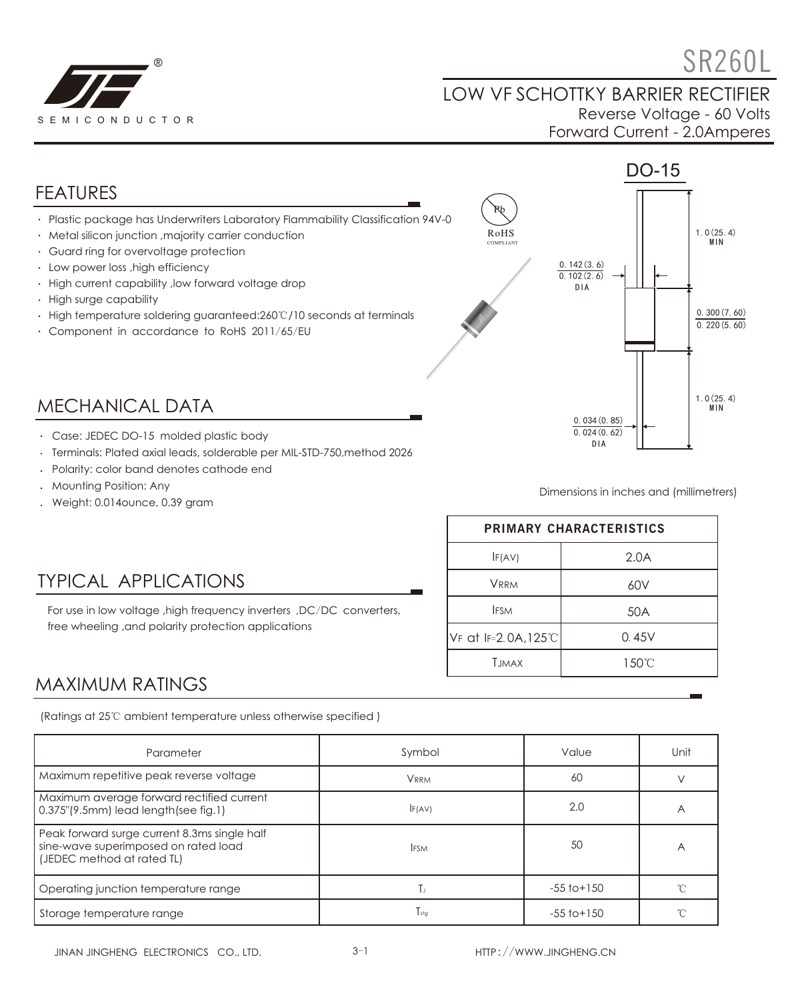

# $\textdegree$  SR260L

#### LOW VF SCHOTTKY BARRIER RECTIFIER Reverse Voltage - 60 Volts Forward Current - 2.0Amperes



- Case: JEDEC DO-15 molded plastic body
- Terminals: Plated axial leads, solderable per MIL-STD-750,method 2026
- Polarity: color band denotes cathode end
- Mounting Position: Any
- Weight: 0.014ounce, 0.39 gram

TYPICAL APPLICATIONS

free wheeling ,and polarity protection applications

Dimensions in inches and (millimetrers)

| <b>PRIMARY CHARACTERISTICS</b> |       |  |  |
|--------------------------------|-------|--|--|
| IF(AV)                         | 2.0A  |  |  |
| <b>VRRM</b>                    | 60V   |  |  |
| <b>IFSM</b>                    | 50A   |  |  |
| VF at IF=2.0A, 125°C           | 0.45V |  |  |
| <b>T.IMAX</b>                  | 150°C |  |  |

DIA

## MAXIMUM RATINGS

(Ratings at 25℃ ambient temperature unless otherwise specified )

For use in low voltage ,high frequency inverters ,DC/DC converters,

| Parameter                                                                                                          | Symbol      | Value           |   |
|--------------------------------------------------------------------------------------------------------------------|-------------|-----------------|---|
| Maximum repetitive peak reverse voltage                                                                            | <b>VRRM</b> | 60              |   |
| Maximum average forward rectified current<br>0.375"(9.5mm) lead length(see fig.1)                                  | F(AV)       | 2.0             | Α |
| Peak forward surge current 8.3ms single half<br>sine-wave superimposed on rated load<br>(JEDEC method at rated TL) | <b>IFSM</b> | 50              | А |
| Operating junction temperature range                                                                               | Tı.         | $-55$ to $+150$ |   |
| Storage temperature range                                                                                          | $T_{sta}$   | $-55$ to $+150$ |   |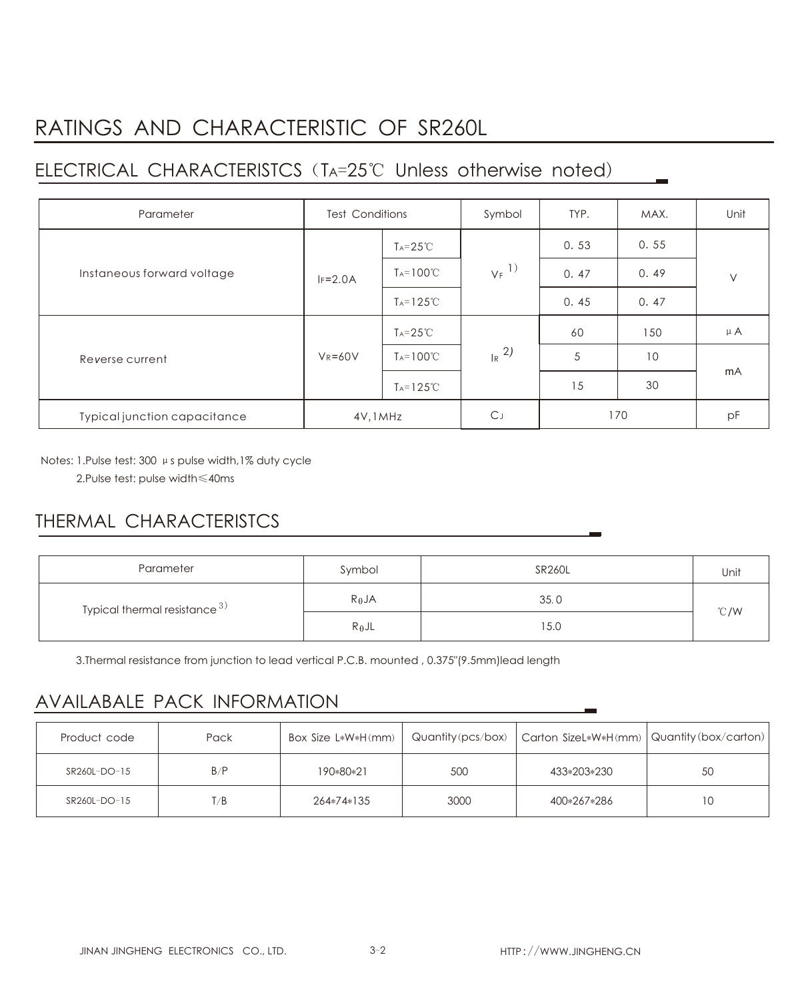### RATINGS AND CHARACTERISTIC OF SR260L

#### ELECTRICAL CHARACTERISTCS (TA=25℃ Unless otherwise noted)

| Parameter                    | <b>Test Conditions</b> |                      | Symbol              | TYP. | MAX. | Unit    |
|------------------------------|------------------------|----------------------|---------------------|------|------|---------|
| Instaneous forward voltage   |                        | $T_A = 25^{\circ}C$  | $V_F$ <sup>1)</sup> | 0.53 | 0.55 | $\vee$  |
|                              | $IF=2.0A$              | $T_A = 100^{\circ}C$ |                     | 0.47 | 0.49 |         |
|                              |                        | $T_A = 125^{\circ}C$ |                     | 0.45 | 0.47 |         |
| Reverse current              | $V_R = 60V$            | $T_A = 25^{\circ}C$  | $R^{2}$             | 60   | 150  | $\mu A$ |
|                              |                        | $T_A = 100^{\circ}C$ |                     | 5    | 10   | mA      |
|                              |                        | $Ta=125^{\circ}C$    |                     | 15   | 30   |         |
| Typical junction capacitance | 4V, 1MHz               |                      | C.                  | 170  |      | pF      |

Notes: 1.Pulse test: 300 μs pulse width,1% duty cycle

2.Pulse test: pulse width≤40ms

#### THERMAL CHARACTERISTCS

| Parameter                       | Symbol          | <b>SR260L</b> | Unit |  |
|---------------------------------|-----------------|---------------|------|--|
| Typical thermal resistance $3)$ | $R_{\theta}$ JA | 35.0          | °C/W |  |
|                                 | $R_{\theta}$ JL | 15.0          |      |  |

3.Thermal resistance from junction to lead vertical P.C.B. mounted , 0.375"(9.5mm)lead length

#### AVAILABALE PACK INFORMATION

| Product code | Pack | Box Size L*W*H(mm) |      | Quantity (pcs/box)   Carton SizeL*W*H(mm)   Quantity (box/carton) |    |
|--------------|------|--------------------|------|-------------------------------------------------------------------|----|
| SR260L-DO-15 | B/P  | 190*80*21          | 500  | 433*203*230                                                       | 50 |
| SR260L-DO-15 | T/B  | 264*74*135         | 3000 | 400*267*286                                                       | 1C |